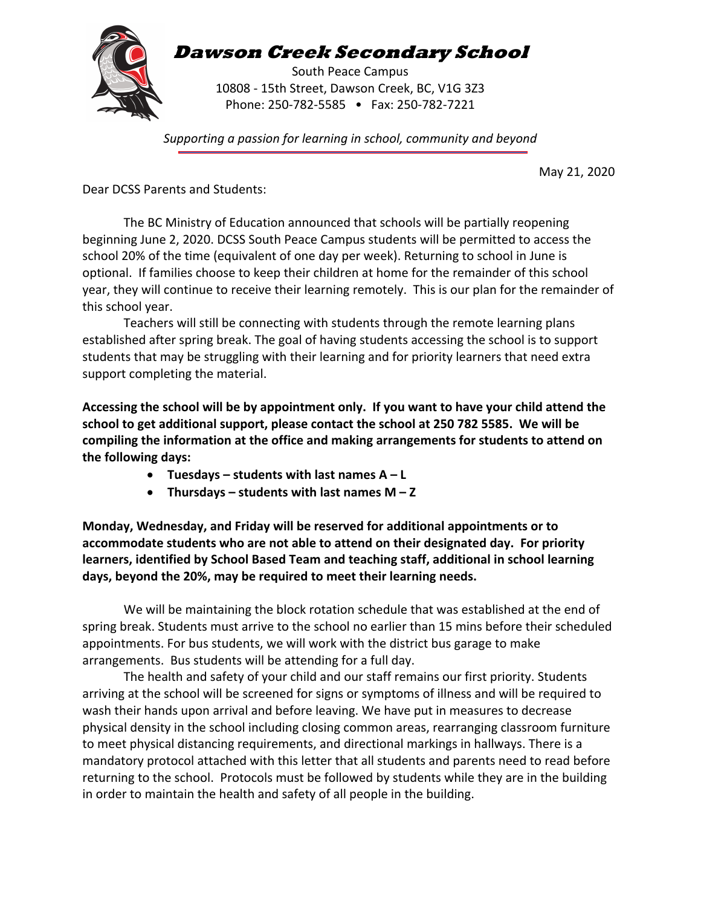

**Dawson Creek Secondary School**

South Peace Campus 10808 - 15th Street, Dawson Creek, BC, V1G 3Z3 Phone: 250-782-5585 • Fax: 250-782-7221

*Supporting a passion for learning in school, community and beyond*

May 21, 2020

Dear DCSS Parents and Students:

The BC Ministry of Education announced that schools will be partially reopening beginning June 2, 2020. DCSS South Peace Campus students will be permitted to access the school 20% of the time (equivalent of one day per week). Returning to school in June is optional. If families choose to keep their children at home for the remainder of this school year, they will continue to receive their learning remotely. This is our plan for the remainder of this school year.

Teachers will still be connecting with students through the remote learning plans established after spring break. The goal of having students accessing the school is to support students that may be struggling with their learning and for priority learners that need extra support completing the material.

**Accessing the school will be by appointment only. If you want to have your child attend the school to get additional support, please contact the school at 250 782 5585. We will be compiling the information at the office and making arrangements for students to attend on the following days:**

- **Tuesdays – students with last names A – L**
- **Thursdays – students with last names M – Z**

**Monday, Wednesday, and Friday will be reserved for additional appointments or to accommodate students who are not able to attend on their designated day. For priority learners, identified by School Based Team and teaching staff, additional in school learning days, beyond the 20%, may be required to meet their learning needs.**

We will be maintaining the block rotation schedule that was established at the end of spring break. Students must arrive to the school no earlier than 15 mins before their scheduled appointments. For bus students, we will work with the district bus garage to make arrangements. Bus students will be attending for a full day.

The health and safety of your child and our staff remains our first priority. Students arriving at the school will be screened for signs or symptoms of illness and will be required to wash their hands upon arrival and before leaving. We have put in measures to decrease physical density in the school including closing common areas, rearranging classroom furniture to meet physical distancing requirements, and directional markings in hallways. There is a mandatory protocol attached with this letter that all students and parents need to read before returning to the school. Protocols must be followed by students while they are in the building in order to maintain the health and safety of all people in the building.